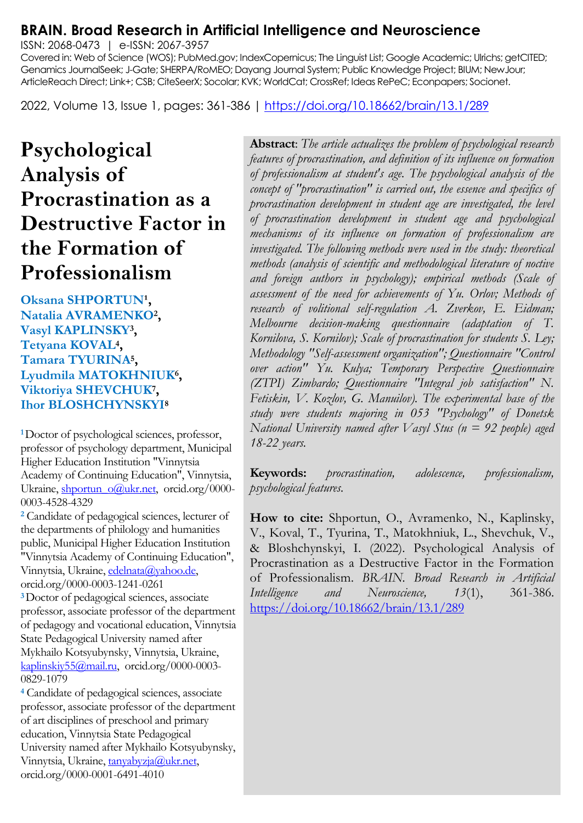# **BRAIN. Broad Research in Artificial Intelligence and Neuroscience**

ISSN: 2068-0473 | e-ISSN: 2067-3957

Covered in: Web of Science (WOS); PubMed.gov; IndexCopernicus; The Linguist List; Google Academic; Ulrichs; getCITED; Genamics JournalSeek; J-Gate; SHERPA/RoMEO; Dayang Journal System; Public Knowledge Project; BIUM; NewJour; ArticleReach Direct; Link+; CSB; CiteSeerX; Socolar; KVK; WorldCat; CrossRef; Ideas RePeC; Econpapers; Socionet.

2022, Volume 13, Issue 1, pages: 361-386 |<https://doi.org/10.18662/brain/13.1/289>

# **Рsychological Analysis of Procrastination as a Destructive Factor in the Formation of Professionalism**

**Oksana SHPORTUN<sup>1</sup>, Natalia AVRAMENKO<sup>2</sup> , Vasyl KAPLINSKY<sup>3</sup> , Tetyana KOVAL<sup>4</sup> , Tamara TYURINA<sup>5</sup> , Lyudmila MATOKHNIUK<sup>6</sup> , Viktoriya SHEVCHUK<sup>7</sup> , Ihor BLOSHCHYNSKYI<sup>8</sup>**

**<sup>1</sup>**Doctor of psychological sciences, professor, professor of psychology department, Municipal Higher Education Institution "Vinnytsia Academy of Continuing Education", Vinnytsia, Ukraine[, shportun\\_o@ukr.net,](mailto:shportun_o@ukr.net) orcid.org/0000-0003-4528-4329

**<sup>2</sup>** Candidate of pedagogical sciences, lecturer of the departments of philology and humanities public, Municipal Higher Education Institution "Vinnytsia Academy of Continuing Education", Vinnytsia, Ukraine[, edelnata@yahoo.de,](mailto:edelnata@yahoo.de)  orcid.org/0000-0003-1241-0261 **<sup>3</sup>**Doctor of pedagogical sciences, associate professor, associate professor of the department

of pedagogy and vocational education, Vinnytsia State Pedagogical University named after Mykhailo Kotsyubynsky, Vinnytsia, Ukraine, [kaplinskiy55@mail.ru,](mailto:kaplinskiy55@mail.ru) orcid.org/0000-0003- 0829-1079

**<sup>4</sup>** Candidate of pedagogical sciences, associate professor, associate professor of the department of art disciplines of preschool and primary education, Vinnytsia State Pedagogical University named after Mykhailo Kotsyubynsky, Vinnytsia, Ukraine[, tanyabyzja@ukr.net,](mailto:tanyabyzja@ukr.net)  orcid.org/0000-0001-6491-4010

**Abstract**: *The article actualizes the problem of psychological research features of procrastination, and definition of its influence on formation of professionalism at student's age. The psychological analysis of the concept of "procrastination" is carried out, the essence and specifics of procrastination development in student age are investigated, the level of procrastination development in student age and psychological mechanisms of its influence on formation of professionalism are investigated. The following methods were used in the study: theoretical methods (analysis of scientific and methodological literature of noctive and foreign authors in psychology); empirical methods (Scale of assessment of the need for achievements of Yu. Orlov; Methods of research of volitional self-regulation A. Zverkov, E. Eidman; Melbourne decision-making questionnaire (adaptation of T. Kornilova, S. Kornilov); Scale of procrastination for students S. Ley; Methodology "Self-assessment organization"; Questionnaire "Control over action" Yu. Kulya; Temporary Perspective Questionnaire (ZTPI) Zimbardo; Questionnaire "Integral job satisfaction" N. Fetiskin, V. Kozlov, G. Manuilov). The experimental base of the study were students majoring in 053 "Psychology" of Donetsk National University named after Vasyl Stus (n = 92 people) aged 18-22 years.*

**Keywords:** *procrastination, adolescence, professionalism, psychological features.*

**How to cite:** Shportun, O., Avramenko, N., Kaplinsky, V., Koval, T., Tyurina, T., Matokhniuk, L., Shevchuk, V., & Bloshchynskyi, I. (2022). Рsychological Analysis of Procrastination as a Destructive Factor in the Formation of Professionalism. *BRAIN. Broad Research in Artificial Intelligence and Neuroscience, 13*(1), 361-386. <https://doi.org/10.18662/brain/13.1/289>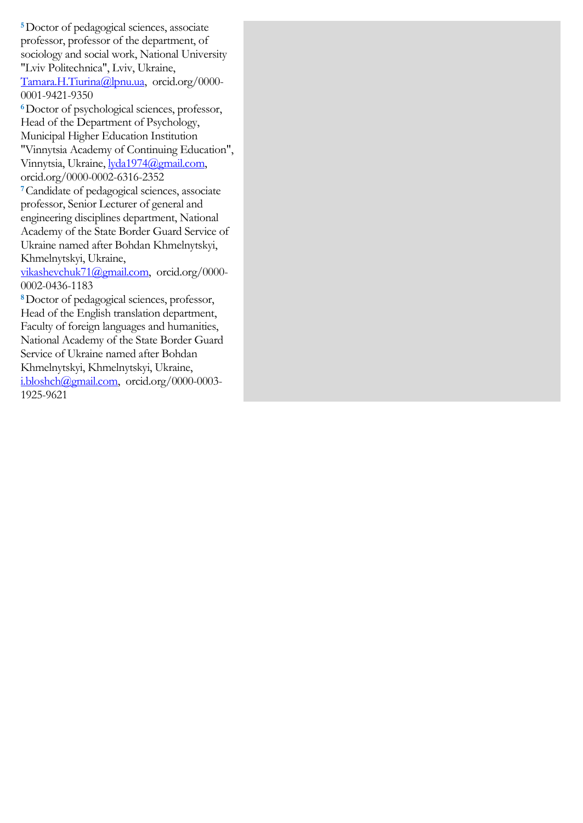**<sup>5</sup>**Doctor of pedagogical sciences, associate professor, professor of the department, of sociology and social work, National University "Lviv Politechnica", Lviv, Ukraine, [Tamara.H.Tiurina@lpnu.ua,](mailto:Tamara.H.Tiurina@lpnu.ua) orcid.org/0000- 0001-9421-9350

**<sup>6</sup>**Doctor of psychological sciences, professor, Head of the Department of Psychology, Municipal Higher Education Institution "Vinnytsia Academy of Continuing Education", Vinnytsia, Ukraine[, lyda1974@gmail.com,](mailto:lyda1974@gmail.com) orcid.org/0000-0002-6316-2352

**<sup>7</sup>**Candidate of pedagogical sciences, associate professor, Senior Lecturer of general and engineering disciplines department, National Academy of the State Border Guard Service of Ukraine named after Bohdan Khmelnytskyi, Khmelnytskyi, Ukraine,

[vikashevchuk71@gmail.com,](mailto:vikashevchuk71@gmail.com) orcid.org/0000- 0002-0436-1183

**<sup>8</sup>**Doctor of pedagogical sciences, professor, Head of the English translation department, Faculty of foreign languages and humanities, National Academy of the State Border Guard Service of Ukraine named after Bohdan Khmelnytskyi, Khmelnytskyi, Ukraine, [i.bloshch@gmail.com,](mailto:i.bloshch@gmail.com) orcid.org/0000-0003- 1925-9621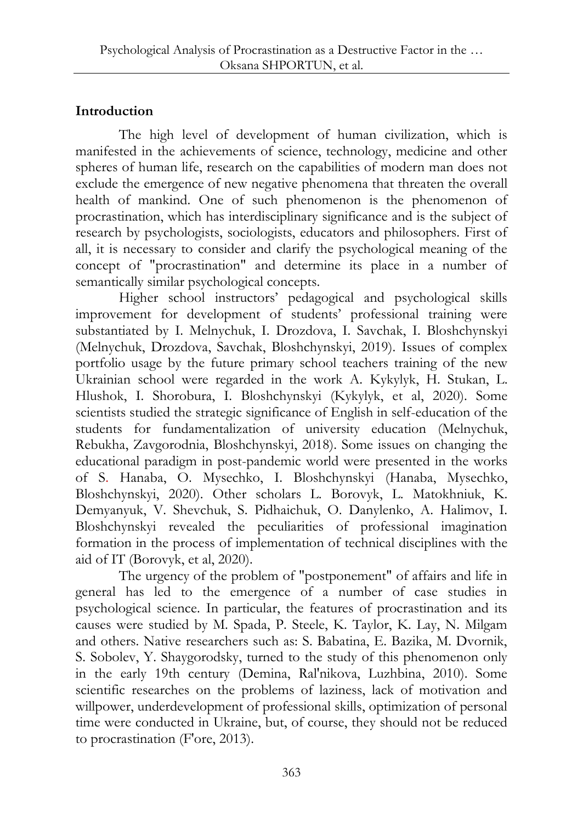## **Introduction**

The high level of development of human civilization, which is manifested in the achievements of science, technology, medicine and other spheres of human life, research on the capabilities of modern man does not exclude the emergence of new negative phenomena that threaten the overall health of mankind. One of such phenomenon is the phenomenon of procrastination, which has interdisciplinary significance and is the subject of research by psychologists, sociologists, educators and philosophers. First of all, it is necessary to consider and clarify the psychological meaning of the concept of "procrastination" and determine its place in a number of semantically similar psychological concepts.

Higher school instructors' pedagogical and psychological skills improvement for development of students' professional training were substantiated by I. Melnychuk, I. Drozdova, I. Savchak, I. Bloshchynskyi (Melnychuk, Drozdova, Savchak, Bloshchynskyi, 2019). Issues of complex portfolio usage by the future primary school teachers training of the new Ukrainian school were regarded in the work A. Kykylyk, H. Stukan, L. Hlushok, I. Shorobura, I. Bloshchynskyi (Kykylyk, et al, 2020). Some scientists studied the strategic significance of English in self-education of the students for fundamentalization of university education (Melnychuk, Rebukha, Zavgorodnia, Bloshchynskyi, 2018). Some issues on changing the educational paradigm in post-pandemic world were presented in the works of S. Hanaba, O. Mysechko, I. Bloshchynskyi (Hanaba, Mysechko, Bloshchynskyi, 2020). Other scholars L. Borovyk, L. Matokhniuk, K. Demyanyuk, V. Shevchuk, S. Pidhaichuk, O. Danylenko, A. Halimov, I. Bloshchynskyi revealed the peculiarities of professional imagination formation in the process of implementation of technical disciplines with the aid of IT (Borovyk, et al, 2020).

The urgency of the problem of "postponement" of affairs and life in general has led to the emergence of a number of case studies in psychological science. In particular, the features of procrastination and its causes were studied by M. Spada, P. Steele, K. Taylor, K. Lay, N. Milgam and others. Native researchers such as: S. Babatina, E. Bazika, M. Dvornik, S. Sobolev, Y. Shaygorodsky, turned to the study of this phenomenon only in the early 19th century (Demina, Ral'nikova, Luzhbina, 2010). Some scientific researches on the problems of laziness, lack of motivation and willpower, underdevelopment of professional skills, optimization of personal time were conducted in Ukraine, but, of course, they should not be reduced to procrastination (F'ore, 2013).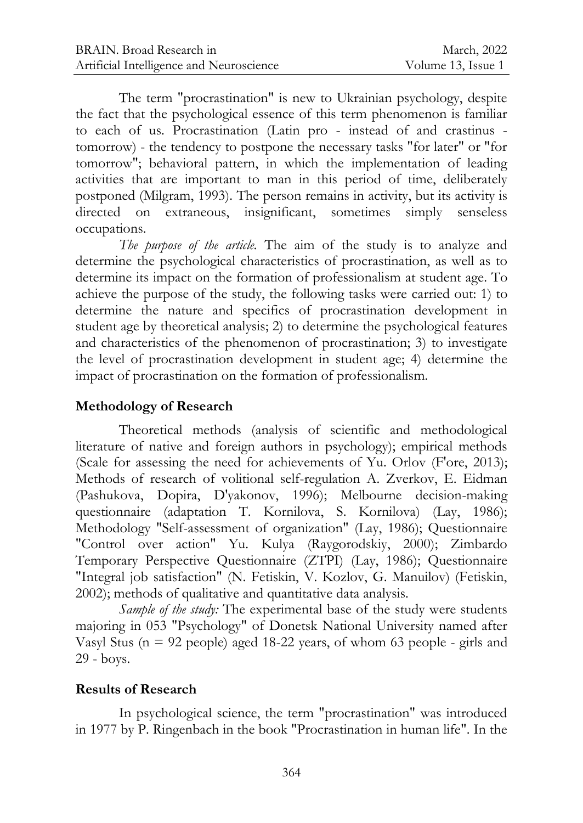The term "procrastination" is new to Ukrainian psychology, despite the fact that the psychological essence of this term phenomenon is familiar to each of us. Procrastination (Latin pro - instead of and crastinus tomorrow) - the tendency to postpone the necessary tasks "for later" or "for tomorrow"; behavioral pattern, in which the implementation of leading activities that are important to man in this period of time, deliberately postponed (Milgram, 1993). The person remains in activity, but its activity is directed on extraneous, insignificant, sometimes simply senseless occupations.

*The purpose of the article.* The aim of the study is to analyze and determine the psychological characteristics of procrastination, as well as to determine its impact on the formation of professionalism at student age. To achieve the purpose of the study, the following tasks were carried out: 1) to determine the nature and specifics of procrastination development in student age by theoretical analysis; 2) to determine the psychological features and characteristics of the phenomenon of procrastination; 3) to investigate the level of procrastination development in student age; 4) determine the impact of procrastination on the formation of professionalism.

## **Methodology of Research**

Theoretical methods (analysis of scientific and methodological literature of native and foreign authors in psychology); empirical methods (Scale for assessing the need for achievements of Yu. Orlov (F'ore, 2013); Methods of research of volitional self-regulation A. Zverkov, E. Eidman (Pashukova, Dopira, D'yakonov, 1996); Melbourne decision-making questionnaire (adaptation T. Kornilova, S. Kornilova) (Lay, 1986); Methodology "Self-assessment of organization" (Lay, 1986); Questionnaire "Control over action" Yu. Kulya (Raygorodskiy, 2000); Zimbardo Temporary Perspective Questionnaire (ZTPI) (Lay, 1986); Questionnaire "Integral job satisfaction" (N. Fetiskin, V. Kozlov, G. Manuilov) (Fetiskin, 2002); methods of qualitative and quantitative data analysis.

*Sample of the study:* The experimental base of the study were students majoring in 053 "Psychology" of Donetsk National University named after Vasyl Stus ( $n = 92$  people) aged 18-22 years, of whom 63 people - girls and 29 - boys.

#### **Results of Research**

In psychological science, the term "procrastination" was introduced in 1977 by P. Ringenbach in the book "Procrastination in human life". In the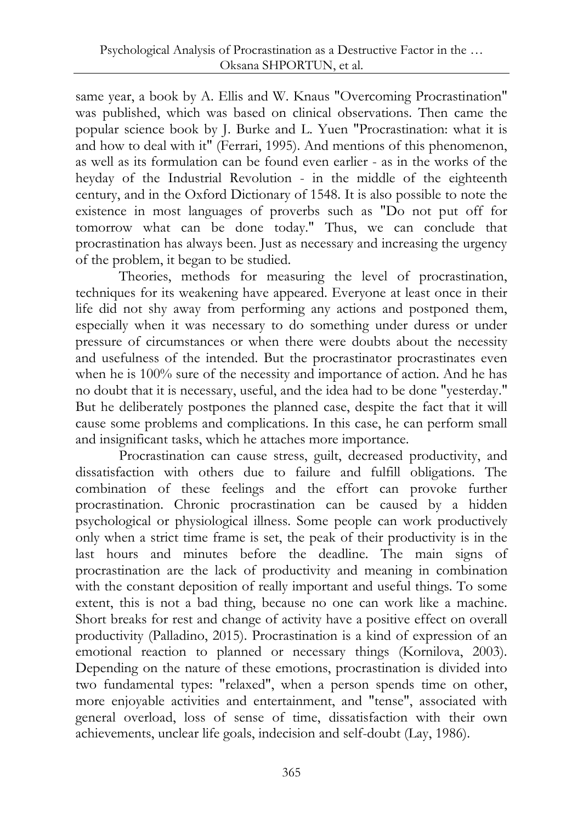same year, a book by A. Ellis and W. Knaus "Overcoming Procrastination" was published, which was based on clinical observations. Then came the popular science book by J. Burke and L. Yuen "Procrastination: what it is and how to deal with it" (Ferrari, 1995). And mentions of this phenomenon, as well as its formulation can be found even earlier - as in the works of the heyday of the Industrial Revolution - in the middle of the eighteenth century, and in the Oxford Dictionary of 1548. It is also possible to note the existence in most languages of proverbs such as "Do not put off for tomorrow what can be done today." Thus, we can conclude that procrastination has always been. Just as necessary and increasing the urgency of the problem, it began to be studied.

Theories, methods for measuring the level of procrastination, techniques for its weakening have appeared. Everyone at least once in their life did not shy away from performing any actions and postponed them, especially when it was necessary to do something under duress or under pressure of circumstances or when there were doubts about the necessity and usefulness of the intended. But the procrastinator procrastinates even when he is 100% sure of the necessity and importance of action. And he has no doubt that it is necessary, useful, and the idea had to be done "yesterday." But he deliberately postpones the planned case, despite the fact that it will cause some problems and complications. In this case, he can perform small and insignificant tasks, which he attaches more importance.

Procrastination can cause stress, guilt, decreased productivity, and dissatisfaction with others due to failure and fulfill obligations. The combination of these feelings and the effort can provoke further procrastination. Chronic procrastination can be caused by a hidden psychological or physiological illness. Some people can work productively only when a strict time frame is set, the peak of their productivity is in the last hours and minutes before the deadline. The main signs of procrastination are the lack of productivity and meaning in combination with the constant deposition of really important and useful things. To some extent, this is not a bad thing, because no one can work like a machine. Short breaks for rest and change of activity have a positive effect on overall productivity (Palladino, 2015). Procrastination is a kind of expression of an emotional reaction to planned or necessary things (Kornilova, 2003). Depending on the nature of these emotions, procrastination is divided into two fundamental types: "relaxed", when a person spends time on other, more enjoyable activities and entertainment, and "tense", associated with general overload, loss of sense of time, dissatisfaction with their own achievements, unclear life goals, indecision and self-doubt (Lay, 1986).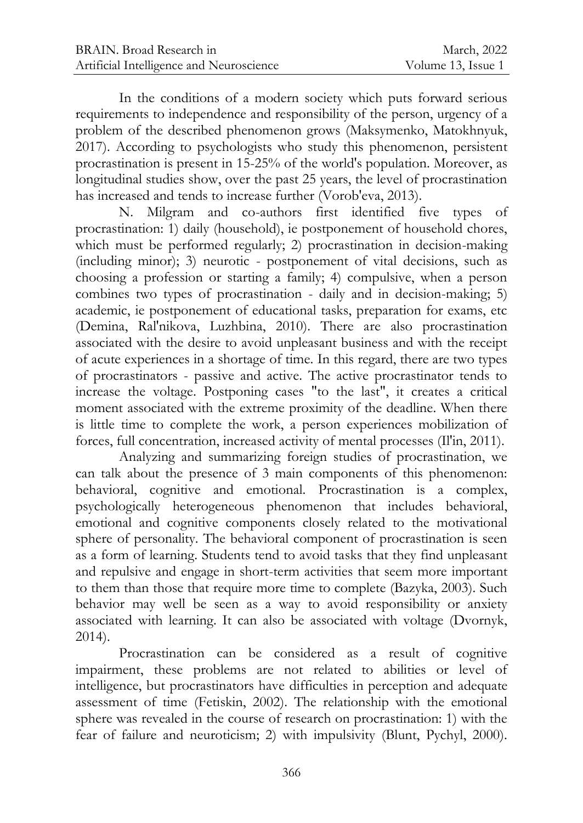In the conditions of a modern society which puts forward serious requirements to independence and responsibility of the person, urgency of a problem of the described phenomenon grows (Maksymenko, Matokhnyuk, 2017). According to psychologists who study this phenomenon, persistent procrastination is present in 15-25% of the world's population. Moreover, as longitudinal studies show, over the past 25 years, the level of procrastination has increased and tends to increase further (Vorob'eva, 2013).

N. Milgram and co-authors first identified five types of procrastination: 1) daily (household), ie postponement of household chores, which must be performed regularly; 2) procrastination in decision-making (including minor); 3) neurotic - postponement of vital decisions, such as choosing a profession or starting a family; 4) compulsive, when a person combines two types of procrastination - daily and in decision-making; 5) academic, ie postponement of educational tasks, preparation for exams, etc (Demina, Ral'nikova, Luzhbina, 2010). There are also procrastination associated with the desire to avoid unpleasant business and with the receipt of acute experiences in a shortage of time. In this regard, there are two types of procrastinators - passive and active. The active procrastinator tends to increase the voltage. Postponing cases "to the last", it creates a critical moment associated with the extreme proximity of the deadline. When there is little time to complete the work, a person experiences mobilization of forces, full concentration, increased activity of mental processes (Il'in, 2011).

Analyzing and summarizing foreign studies of procrastination, we can talk about the presence of 3 main components of this phenomenon: behavioral, cognitive and emotional. Procrastination is a complex, psychologically heterogeneous phenomenon that includes behavioral, emotional and cognitive components closely related to the motivational sphere of personality. The behavioral component of procrastination is seen as a form of learning. Students tend to avoid tasks that they find unpleasant and repulsive and engage in short-term activities that seem more important to them than those that require more time to complete (Bazyka, 2003). Such behavior may well be seen as a way to avoid responsibility or anxiety associated with learning. It can also be associated with voltage (Dvornyk, 2014).

Procrastination can be considered as a result of cognitive impairment, these problems are not related to abilities or level of intelligence, but procrastinators have difficulties in perception and adequate assessment of time (Fetiskin, 2002). The relationship with the emotional sphere was revealed in the course of research on procrastination: 1) with the fear of failure and neuroticism; 2) with impulsivity (Blunt, Pychyl, 2000).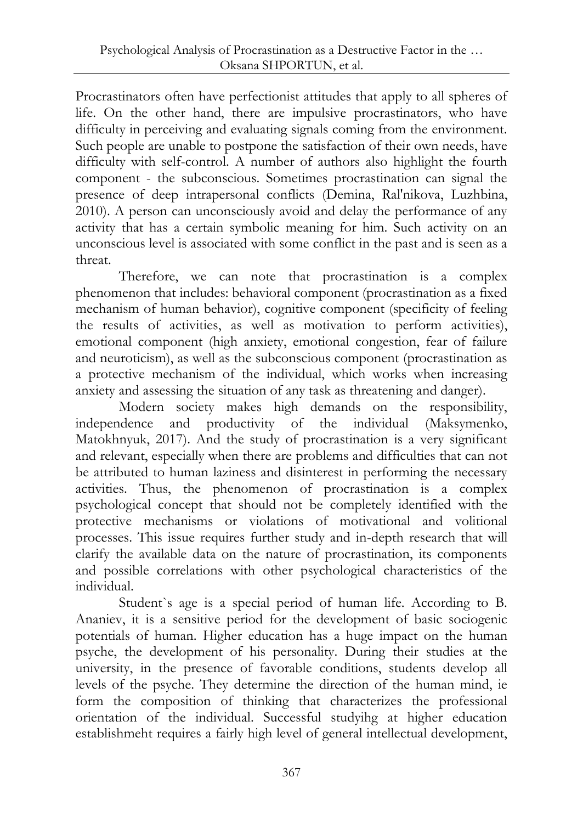Procrastinators often have perfectionist attitudes that apply to all spheres of life. On the other hand, there are impulsive procrastinators, who have difficulty in perceiving and evaluating signals coming from the environment. Such people are unable to postpone the satisfaction of their own needs, have difficulty with self-control. A number of authors also highlight the fourth component - the subconscious. Sometimes procrastination can signal the presence of deep intrapersonal conflicts (Demina, Ral'nikova, Luzhbina, 2010). A person can unconsciously avoid and delay the performance of any activity that has a certain symbolic meaning for him. Such activity on an unconscious level is associated with some conflict in the past and is seen as a threat.

Therefore, we can note that procrastination is a complex phenomenon that includes: behavioral component (procrastination as a fixed mechanism of human behavior), cognitive component (specificity of feeling the results of activities, as well as motivation to perform activities), emotional component (high anxiety, emotional congestion, fear of failure and neuroticism), as well as the subconscious component (procrastination as a protective mechanism of the individual, which works when increasing anxiety and assessing the situation of any task as threatening and danger).

Modern society makes high demands on the responsibility, independence and productivity of the individual (Maksymenko, Matokhnyuk, 2017). And the study of procrastination is a very significant and relevant, especially when there are problems and difficulties that can not be attributed to human laziness and disinterest in performing the necessary activities. Thus, the phenomenon of procrastination is a complex psychological concept that should not be completely identified with the protective mechanisms or violations of motivational and volitional processes. This issue requires further study and in-depth research that will clarify the available data on the nature of procrastination, its components and possible correlations with other psychological characteristics of the individual.

Student`s age is a special period of human life. According to B. Ananiev, it is a sensitive period for the development of basic sociogenic potentials of human. Higher education has a huge impact on the human psyche, the development of his personality. During their studies at the university, in the presence of favorable conditions, students develop all levels of the psyche. They determine the direction of the human mind, ie form the composition of thinking that characterizes the professional orientation of the individual. Successful studyihg at higher education establishmeht requires a fairly high level of general intellectual development,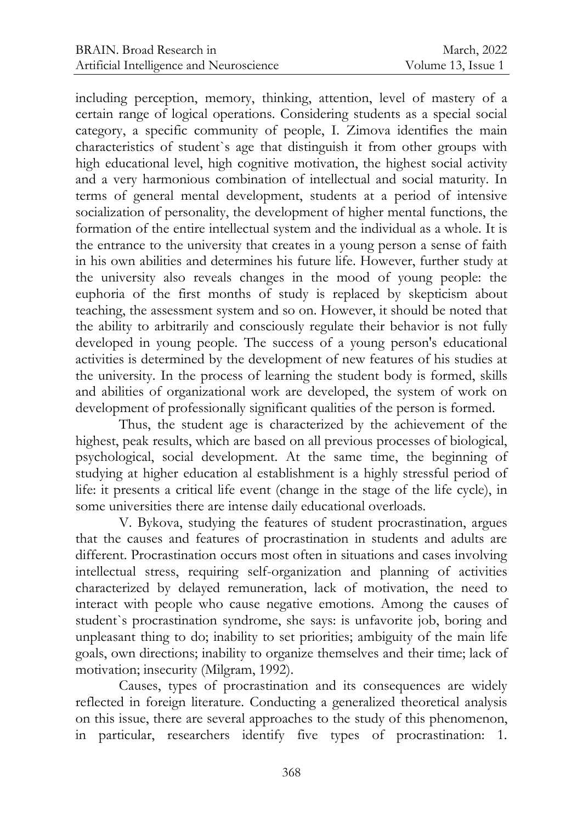including perception, memory, thinking, attention, level of mastery of a certain range of logical operations. Considering students as a special social category, a specific community of people, I. Zimova identifies the main characteristics of student`s age that distinguish it from other groups with high educational level, high cognitive motivation, the highest social activity and a very harmonious combination of intellectual and social maturity. In terms of general mental development, students at a period of intensive socialization of personality, the development of higher mental functions, the formation of the entire intellectual system and the individual as a whole. It is the entrance to the university that creates in a young person a sense of faith in his own abilities and determines his future life. However, further study at the university also reveals changes in the mood of young people: the euphoria of the first months of study is replaced by skepticism about teaching, the assessment system and so on. However, it should be noted that the ability to arbitrarily and consciously regulate their behavior is not fully developed in young people. The success of a young person's educational activities is determined by the development of new features of his studies at the university. In the process of learning the student body is formed, skills and abilities of organizational work are developed, the system of work on development of professionally significant qualities of the person is formed.

Thus, the student age is characterized by the achievement of the highest, peak results, which are based on all previous processes of biological, psychological, social development. At the same time, the beginning of studying at higher education al establishment is a highly stressful period of life: it presents a critical life event (change in the stage of the life cycle), in some universities there are intense daily educational overloads.

V. Bykova, studying the features of student procrastination, argues that the causes and features of procrastination in students and adults are different. Procrastination occurs most often in situations and cases involving intellectual stress, requiring self-organization and planning of activities characterized by delayed remuneration, lack of motivation, the need to interact with people who cause negative emotions. Among the causes of student`s procrastination syndrome, she says: is unfavorite job, boring and unpleasant thing to do; inability to set priorities; ambiguity of the main life goals, own directions; inability to organize themselves and their time; lack of motivation; insecurity (Milgram, 1992).

Causes, types of procrastination and its consequences are widely reflected in foreign literature. Conducting a generalized theoretical analysis on this issue, there are several approaches to the study of this phenomenon, in particular, researchers identify five types of procrastination: 1.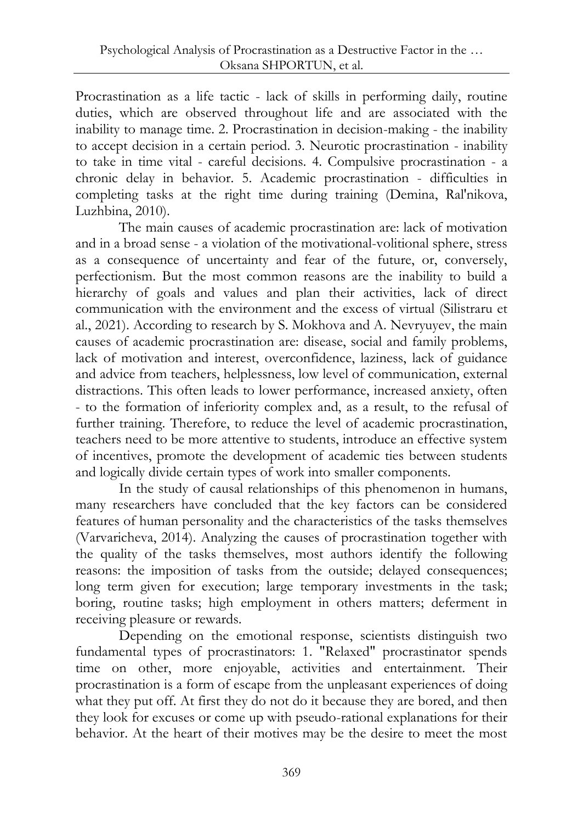Procrastination as a life tactic - lack of skills in performing daily, routine duties, which are observed throughout life and are associated with the inability to manage time. 2. Procrastination in decision-making - the inability to accept decision in a certain period. 3. Neurotic procrastination - inability to take in time vital - careful decisions. 4. Compulsive procrastination - a chronic delay in behavior. 5. Academic procrastination - difficulties in completing tasks at the right time during training (Demina, Ral'nikova, Luzhbina, 2010).

The main causes of academic procrastination are: lack of motivation and in a broad sense - a violation of the motivational-volitional sphere, stress as a consequence of uncertainty and fear of the future, or, conversely, perfectionism. But the most common reasons are the inability to build a hierarchy of goals and values and plan their activities, lack of direct communication with the environment and the excess of virtual (Silistraru et al., 2021). According to research by S. Mokhova and A. Nevryuyev, the main causes of academic procrastination are: disease, social and family problems, lack of motivation and interest, overconfidence, laziness, lack of guidance and advice from teachers, helplessness, low level of communication, external distractions. This often leads to lower performance, increased anxiety, often - to the formation of inferiority complex and, as a result, to the refusal of further training. Therefore, to reduce the level of academic procrastination, teachers need to be more attentive to students, introduce an effective system of incentives, promote the development of academic ties between students and logically divide certain types of work into smaller components.

In the study of causal relationships of this phenomenon in humans, many researchers have concluded that the key factors can be considered features of human personality and the characteristics of the tasks themselves (Varvaricheva, 2014). Analyzing the causes of procrastination together with the quality of the tasks themselves, most authors identify the following reasons: the imposition of tasks from the outside; delayed consequences; long term given for execution; large temporary investments in the task; boring, routine tasks; high employment in others matters; deferment in receiving pleasure or rewards.

Depending on the emotional response, scientists distinguish two fundamental types of procrastinators: 1. "Relaxed" procrastinator spends time on other, more enjoyable, activities and entertainment. Their procrastination is a form of escape from the unpleasant experiences of doing what they put off. At first they do not do it because they are bored, and then they look for excuses or come up with pseudo-rational explanations for their behavior. At the heart of their motives may be the desire to meet the most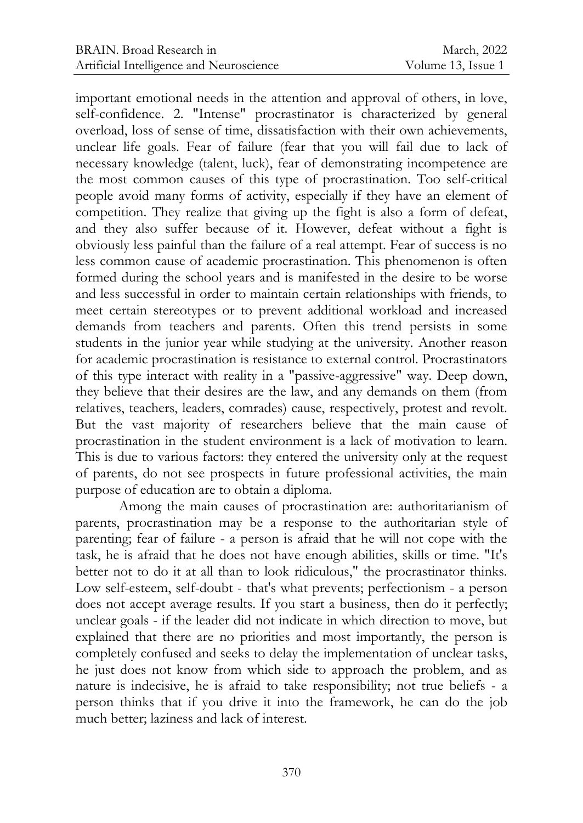important emotional needs in the attention and approval of others, in love, self-confidence. 2. "Intense" procrastinator is characterized by general overload, loss of sense of time, dissatisfaction with their own achievements, unclear life goals. Fear of failure (fear that you will fail due to lack of necessary knowledge (talent, luck), fear of demonstrating incompetence are the most common causes of this type of procrastination. Too self-critical people avoid many forms of activity, especially if they have an element of competition. They realize that giving up the fight is also a form of defeat, and they also suffer because of it. However, defeat without a fight is obviously less painful than the failure of a real attempt. Fear of success is no less common cause of academic procrastination. This phenomenon is often formed during the school years and is manifested in the desire to be worse and less successful in order to maintain certain relationships with friends, to meet certain stereotypes or to prevent additional workload and increased demands from teachers and parents. Often this trend persists in some students in the junior year while studying at the university. Another reason for academic procrastination is resistance to external control. Procrastinators of this type interact with reality in a "passive-aggressive" way. Deep down, they believe that their desires are the law, and any demands on them (from relatives, teachers, leaders, comrades) cause, respectively, protest and revolt. But the vast majority of researchers believe that the main cause of procrastination in the student environment is a lack of motivation to learn. This is due to various factors: they entered the university only at the request of parents, do not see prospects in future professional activities, the main purpose of education are to obtain a diploma.

Among the main causes of procrastination are: authoritarianism of parents, procrastination may be a response to the authoritarian style of parenting; fear of failure - a person is afraid that he will not cope with the task, he is afraid that he does not have enough abilities, skills or time. "It's better not to do it at all than to look ridiculous," the procrastinator thinks. Low self-esteem, self-doubt - that's what prevents; perfectionism - a person does not accept average results. If you start a business, then do it perfectly; unclear goals - if the leader did not indicate in which direction to move, but explained that there are no priorities and most importantly, the person is completely confused and seeks to delay the implementation of unclear tasks, he just does not know from which side to approach the problem, and as nature is indecisive, he is afraid to take responsibility; not true beliefs - a person thinks that if you drive it into the framework, he can do the job much better; laziness and lack of interest.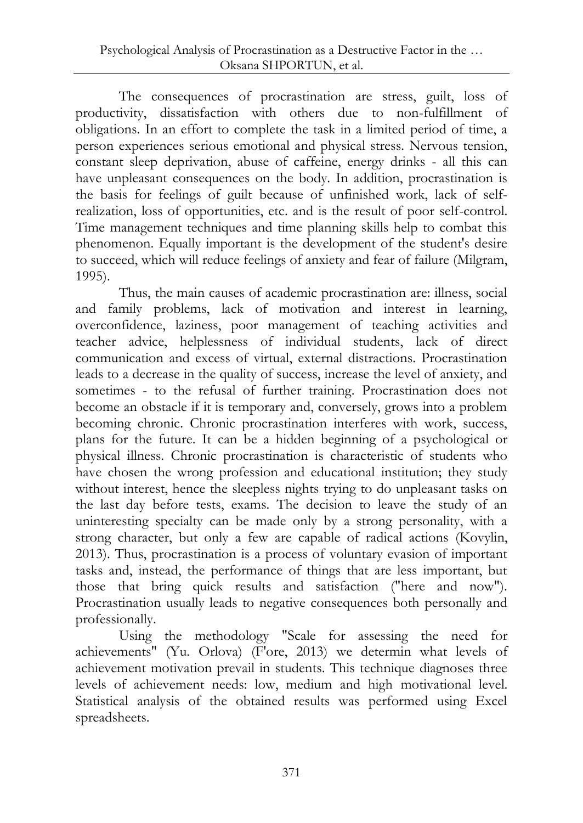The consequences of procrastination are stress, guilt, loss of productivity, dissatisfaction with others due to non-fulfillment of obligations. In an effort to complete the task in a limited period of time, a person experiences serious emotional and physical stress. Nervous tension, constant sleep deprivation, abuse of caffeine, energy drinks - all this can have unpleasant consequences on the body. In addition, procrastination is the basis for feelings of guilt because of unfinished work, lack of selfrealization, loss of opportunities, etc. and is the result of poor self-control. Time management techniques and time planning skills help to combat this phenomenon. Equally important is the development of the student's desire to succeed, which will reduce feelings of anxiety and fear of failure (Milgram, 1995).

Thus, the main causes of academic procrastination are: illness, social and family problems, lack of motivation and interest in learning, overconfidence, laziness, poor management of teaching activities and teacher advice, helplessness of individual students, lack of direct communication and excess of virtual, external distractions. Procrastination leads to a decrease in the quality of success, increase the level of anxiety, and sometimes - to the refusal of further training. Procrastination does not become an obstacle if it is temporary and, conversely, grows into a problem becoming chronic. Chronic procrastination interferes with work, success, plans for the future. It can be a hidden beginning of a psychological or physical illness. Chronic procrastination is characteristic of students who have chosen the wrong profession and educational institution; they study without interest, hence the sleepless nights trying to do unpleasant tasks on the last day before tests, exams. The decision to leave the study of an uninteresting specialty can be made only by a strong personality, with a strong character, but only a few are capable of radical actions (Kovylin, 2013). Thus, procrastination is a process of voluntary evasion of important tasks and, instead, the performance of things that are less important, but those that bring quick results and satisfaction ("here and now"). Procrastination usually leads to negative consequences both personally and professionally.

Using the methodology "Scale for assessing the need for achievements" (Yu. Orlova) (F'ore, 2013) we determin what levels of achievement motivation prevail in students. This technique diagnoses three levels of achievement needs: low, medium and high motivational level. Statistical analysis of the obtained results was performed using Excel spreadsheets.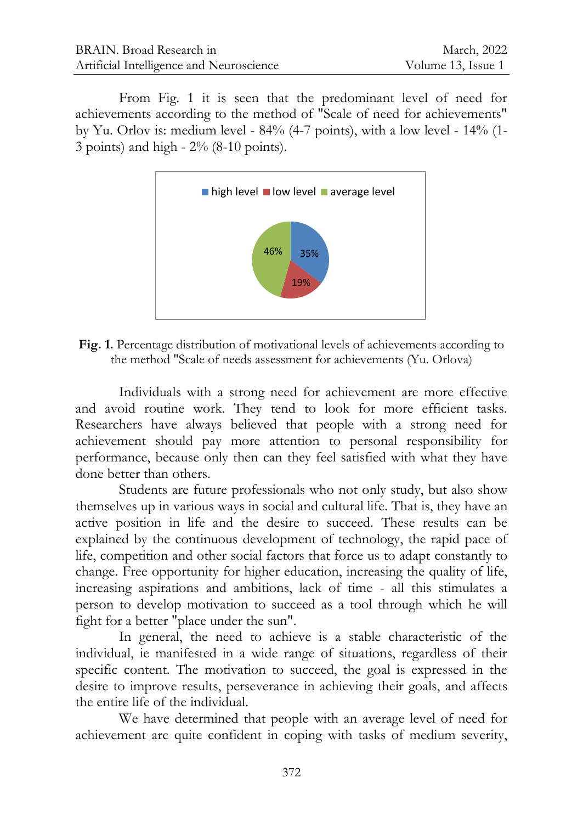From Fig. 1 it is seen that the predominant level of need for achievements according to the method of "Scale of need for achievements" by Yu. Orlov is: medium level - 84% (4-7 points), with a low level - 14% (1- 3 points) and high - 2% (8-10 points).



**Fig. 1.** Percentage distribution of motivational levels of achievements according to the method "Scale of needs assessment for achievements (Yu. Orlova)

Individuals with a strong need for achievement are more effective and avoid routine work. They tend to look for more efficient tasks. Researchers have always believed that people with a strong need for achievement should pay more attention to personal responsibility for performance, because only then can they feel satisfied with what they have done better than others.

Students are future professionals who not only study, but also show themselves up in various ways in social and cultural life. That is, they have an active position in life and the desire to succeed. These results can be explained by the continuous development of technology, the rapid pace of life, competition and other social factors that force us to adapt constantly to change. Free opportunity for higher education, increasing the quality of life, increasing aspirations and ambitions, lack of time - all this stimulates a person to develop motivation to succeed as a tool through which he will fight for a better "place under the sun".

In general, the need to achieve is a stable characteristic of the individual, ie manifested in a wide range of situations, regardless of their specific content. The motivation to succeed, the goal is expressed in the desire to improve results, perseverance in achieving their goals, and affects the entire life of the individual.

We have determined that people with an average level of need for achievement are quite confident in coping with tasks of medium severity,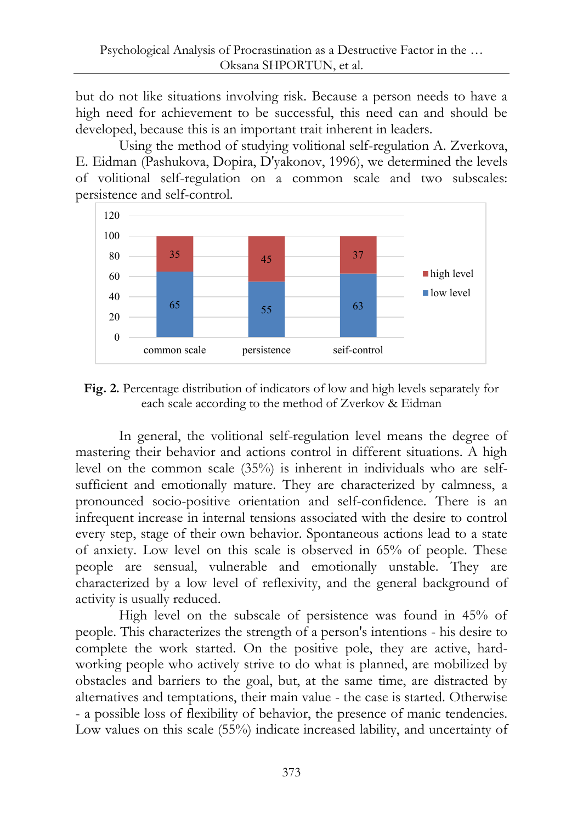but do not like situations involving risk. Because a person needs to have a high need for achievement to be successful, this need can and should be developed, because this is an important trait inherent in leaders.

Using the method of studying volitional self-regulation A. Zverkova, E. Eidman (Pashukova, Dopira, D'yakonov, 1996), we determined the levels of volitional self-regulation on a common scale and two subscales: persistence and self-control.



**Fig. 2.** Percentage distribution of indicators of low and high levels separately for each scale according to the method of Zverkov & Eidman

In general, the volitional self-regulation level means the degree of mastering their behavior and actions control in different situations. A high level on the common scale (35%) is inherent in individuals who are selfsufficient and emotionally mature. They are characterized by calmness, a pronounced socio-positive orientation and self-confidence. There is an infrequent increase in internal tensions associated with the desire to control every step, stage of their own behavior. Spontaneous actions lead to a state of anxiety. Low level on this scale is observed in 65% of people. These people are sensual, vulnerable and emotionally unstable. They are characterized by a low level of reflexivity, and the general background of activity is usually reduced.

High level on the subscale of persistence was found in 45% of people. This characterizes the strength of a person's intentions - his desire to complete the work started. On the positive pole, they are active, hardworking people who actively strive to do what is planned, are mobilized by obstacles and barriers to the goal, but, at the same time, are distracted by alternatives and temptations, their main value - the case is started. Otherwise - a possible loss of flexibility of behavior, the presence of manic tendencies. Low values on this scale (55%) indicate increased lability, and uncertainty of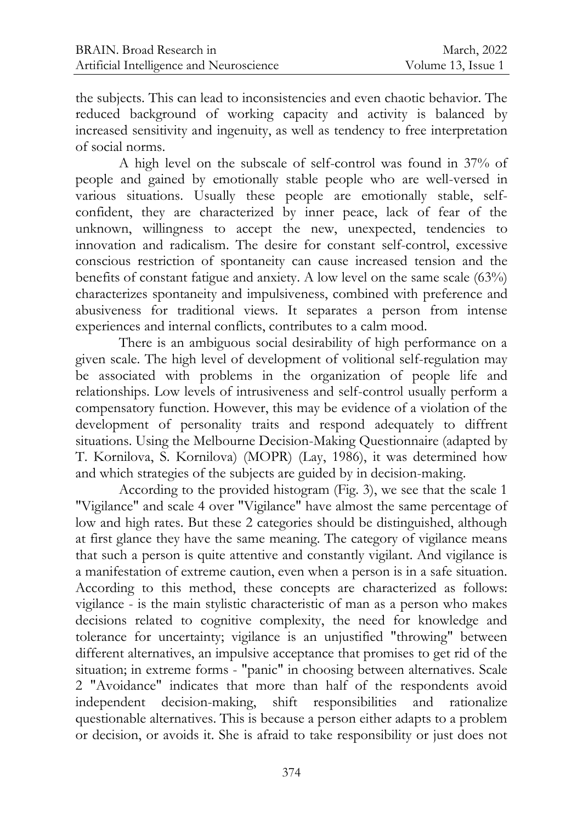the subjects. This can lead to inconsistencies and even chaotic behavior. The reduced background of working capacity and activity is balanced by increased sensitivity and ingenuity, as well as tendency to free interpretation of social norms.

A high level on the subscale of self-control was found in 37% of people and gained by emotionally stable people who are well-versed in various situations. Usually these people are emotionally stable, selfconfident, they are characterized by inner peace, lack of fear of the unknown, willingness to accept the new, unexpected, tendencies to innovation and radicalism. The desire for constant self-control, excessive conscious restriction of spontaneity can cause increased tension and the benefits of constant fatigue and anxiety. A low level on the same scale (63%) characterizes spontaneity and impulsiveness, combined with preference and abusiveness for traditional views. It separates a person from intense experiences and internal conflicts, contributes to a calm mood.

There is an ambiguous social desirability of high performance on a given scale. The high level of development of volitional self-regulation may be associated with problems in the organization of people life and relationships. Low levels of intrusiveness and self-control usually perform a compensatory function. However, this may be evidence of a violation of the development of personality traits and respond adequately to diffrent situations. Using the Melbourne Decision-Making Questionnaire (adapted by T. Kornilova, S. Kornilova) (MOPR) (Lay, 1986), it was determined how and which strategies of the subjects are guided by in decision-making.

According to the provided histogram (Fig. 3), we see that the scale 1 "Vigilance" and scale 4 over "Vigilance" have almost the same percentage of low and high rates. But these 2 categories should be distinguished, although at first glance they have the same meaning. The category of vigilance means that such a person is quite attentive and constantly vigilant. And vigilance is a manifestation of extreme caution, even when a person is in a safe situation. According to this method, these concepts are characterized as follows: vigilance - is the main stylistic characteristic of man as a person who makes decisions related to cognitive complexity, the need for knowledge and tolerance for uncertainty; vigilance is an unjustified "throwing" between different alternatives, an impulsive acceptance that promises to get rid of the situation; in extreme forms - "panic" in choosing between alternatives. Scale 2 "Avoidance" indicates that more than half of the respondents avoid independent decision-making, shift responsibilities and rationalize questionable alternatives. This is because a person either adapts to a problem or decision, or avoids it. She is afraid to take responsibility or just does not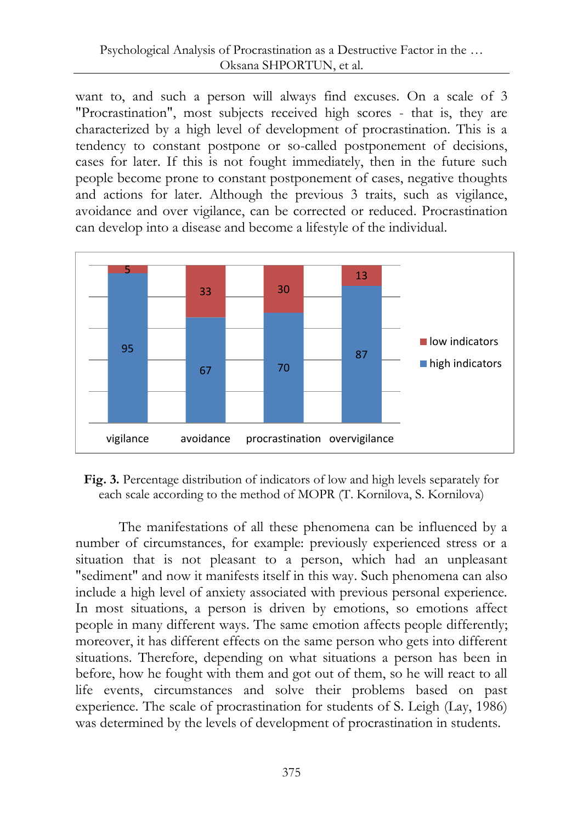want to, and such a person will always find excuses. On a scale of 3 "Procrastination", most subjects received high scores - that is, they are characterized by a high level of development of procrastination. This is a tendency to constant postpone or so-called postponement of decisions, cases for later. If this is not fought immediately, then in the future such people become prone to constant postponement of cases, negative thoughts and actions for later. Although the previous 3 traits, such as vigilance, avoidance and over vigilance, can be corrected or reduced. Procrastination can develop into a disease and become a lifestyle of the individual.



**Fig. 3.** Percentage distribution of indicators of low and high levels separately for each scale according to the method of MOPR (T. Kornilova, S. Kornilova)

The manifestations of all these phenomena can be influenced by a number of circumstances, for example: previously experienced stress or a situation that is not pleasant to a person, which had an unpleasant "sediment" and now it manifests itself in this way. Such phenomena can also include a high level of anxiety associated with previous personal experience. In most situations, a person is driven by emotions, so emotions affect people in many different ways. The same emotion affects people differently; moreover, it has different effects on the same person who gets into different situations. Therefore, depending on what situations a person has been in before, how he fought with them and got out of them, so he will react to all life events, circumstances and solve their problems based on past experience. The scale of procrastination for students of S. Leigh (Lay, 1986) was determined by the levels of development of procrastination in students.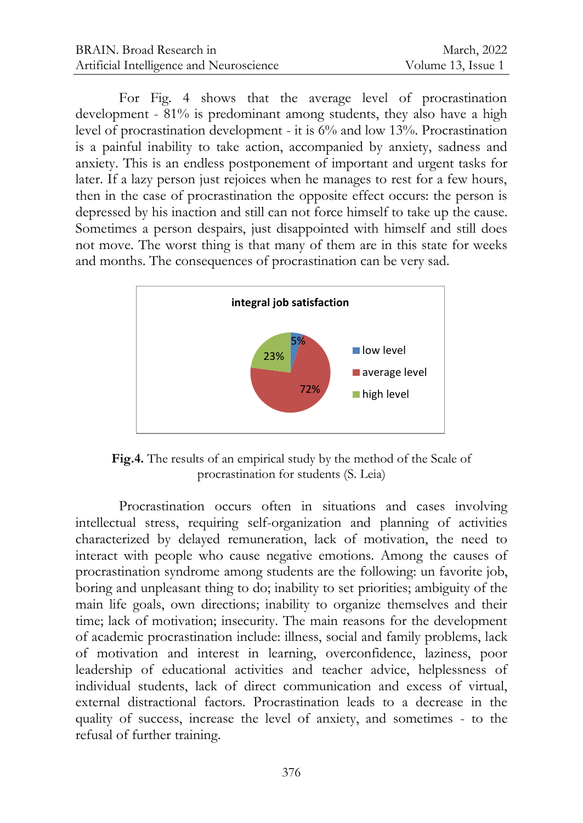For Fig. 4 shows that the average level of procrastination development - 81% is predominant among students, they also have a high level of procrastination development - it is 6% and low 13%. Procrastination is a painful inability to take action, accompanied by anxiety, sadness and anxiety. This is an endless postponement of important and urgent tasks for later. If a lazy person just rejoices when he manages to rest for a few hours, then in the case of procrastination the opposite effect occurs: the person is depressed by his inaction and still can not force himself to take up the cause. Sometimes a person despairs, just disappointed with himself and still does not move. The worst thing is that many of them are in this state for weeks and months. The consequences of procrastination can be very sad.



**Fig.4.** The results of an empirical study by the method of the Scale of procrastination for students (S. Leia)

Procrastination occurs often in situations and cases involving intellectual stress, requiring self-organization and planning of activities characterized by delayed remuneration, lack of motivation, the need to interact with people who cause negative emotions. Among the causes of procrastination syndrome among students are the following: un favorite job, boring and unpleasant thing to do; inability to set priorities; ambiguity of the main life goals, own directions; inability to organize themselves and their time; lack of motivation; insecurity. The main reasons for the development of academic procrastination include: illness, social and family problems, lack of motivation and interest in learning, overconfidence, laziness, poor leadership of educational activities and teacher advice, helplessness of individual students, lack of direct communication and excess of virtual, external distractional factors. Procrastination leads to a decrease in the quality of success, increase the level of anxiety, and sometimes - to the refusal of further training.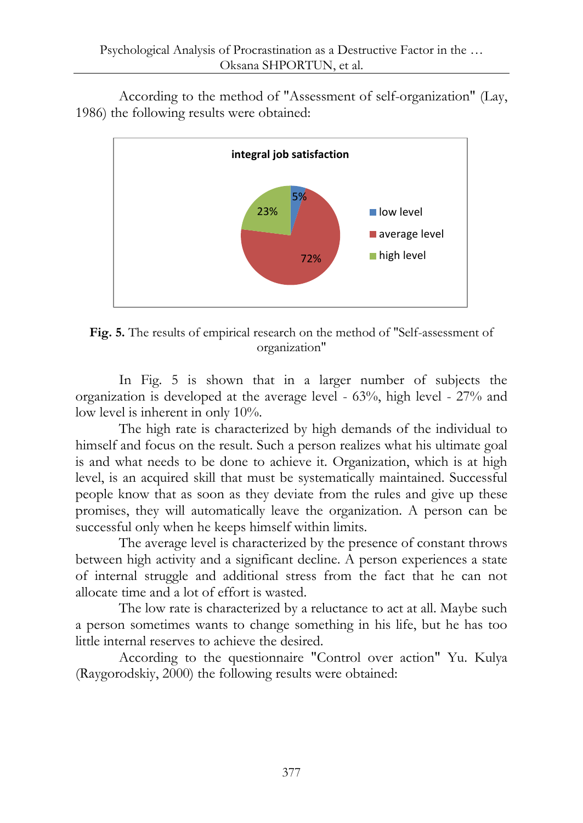According to the method of "Assessment of self-organization" (Lay, 1986) the following results were obtained:



**Fig. 5.** The results of empirical research on the method of "Self-assessment of organization"

In Fig. 5 is shown that in a larger number of subjects the organization is developed at the average level - 63%, high level - 27% and low level is inherent in only  $10\%$ .

The high rate is characterized by high demands of the individual to himself and focus on the result. Such a person realizes what his ultimate goal is and what needs to be done to achieve it. Organization, which is at high level, is an acquired skill that must be systematically maintained. Successful people know that as soon as they deviate from the rules and give up these promises, they will automatically leave the organization. A person can be successful only when he keeps himself within limits.

The average level is characterized by the presence of constant throws between high activity and a significant decline. A person experiences a state of internal struggle and additional stress from the fact that he can not allocate time and a lot of effort is wasted.

The low rate is characterized by a reluctance to act at all. Maybe such a person sometimes wants to change something in his life, but he has too little internal reserves to achieve the desired.

According to the questionnaire "Control over action" Yu. Kulya (Raygorodskiy, 2000) the following results were obtained: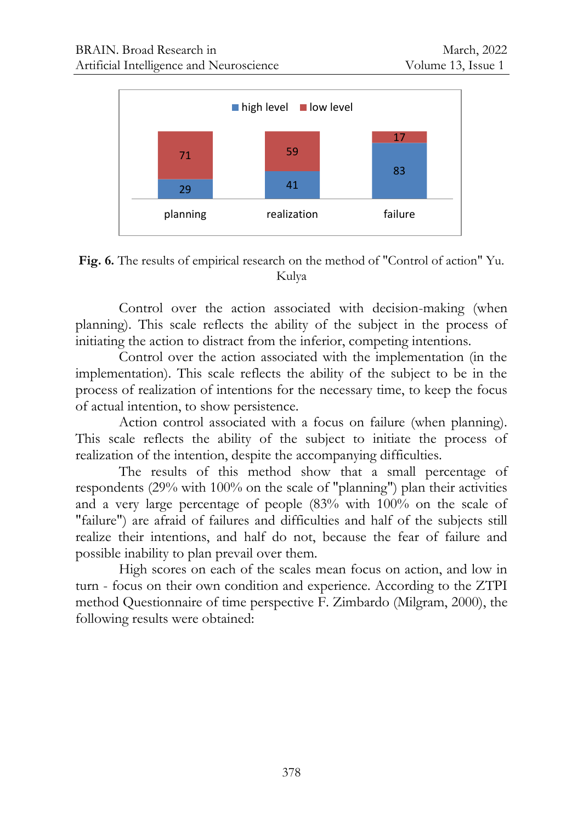

**Fig. 6.** The results of empirical research on the method of "Control of action" Yu. Kulya

Control over the action associated with decision-making (when planning). This scale reflects the ability of the subject in the process of initiating the action to distract from the inferior, competing intentions.

Control over the action associated with the implementation (in the implementation). This scale reflects the ability of the subject to be in the process of realization of intentions for the necessary time, to keep the focus of actual intention, to show persistence.

Action control associated with a focus on failure (when planning). This scale reflects the ability of the subject to initiate the process of realization of the intention, despite the accompanying difficulties.

The results of this method show that a small percentage of respondents (29% with 100% on the scale of "planning") plan their activities and a very large percentage of people (83% with 100% on the scale of "failure") are afraid of failures and difficulties and half of the subjects still realize their intentions, and half do not, because the fear of failure and possible inability to plan prevail over them.

High scores on each of the scales mean focus on action, and low in turn - focus on their own condition and experience. According to the ZTPI method Questionnaire of time perspective F. Zimbardo (Milgram, 2000), the following results were obtained: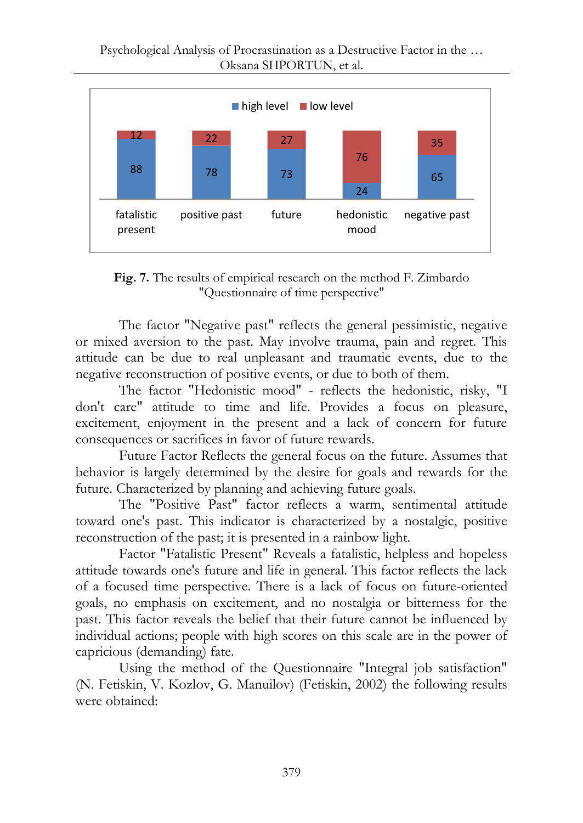

**Fig. 7.** The results of empirical research on the method F. Zimbardo "Questionnaire of time perspective"

The factor "Negative past" reflects the general pessimistic, negative or mixed aversion to the past. May involve trauma, pain and regret. This attitude can be due to real unpleasant and traumatic events, due to the negative reconstruction of positive events, or due to both of them.

The factor "Hedonistic mood" - reflects the hedonistic, risky, "I don't care" attitude to time and life. Provides a focus on pleasure, excitement, enjoyment in the present and a lack of concern for future consequences or sacrifices in favor of future rewards.

Future Factor Reflects the general focus on the future. Assumes that behavior is largely determined by the desire for goals and rewards for the future. Characterized by planning and achieving future goals.

The "Positive Past" factor reflects a warm, sentimental attitude toward one's past. This indicator is characterized by a nostalgic, positive reconstruction of the past; it is presented in a rainbow light.

Factor "Fatalistic Present" Reveals a fatalistic, helpless and hopeless attitude towards one's future and life in general. This factor reflects the lack of a focused time perspective. There is a lack of focus on future-oriented goals, no emphasis on excitement, and no nostalgia or bitterness for the past. This factor reveals the belief that their future cannot be influenced by individual actions; people with high scores on this scale are in the power of capricious (demanding) fate.

Using the method of the Questionnaire "Integral job satisfaction" (N. Fetiskin, V. Kozlov, G. Manuilov) (Fetiskin, 2002) the following results were obtained: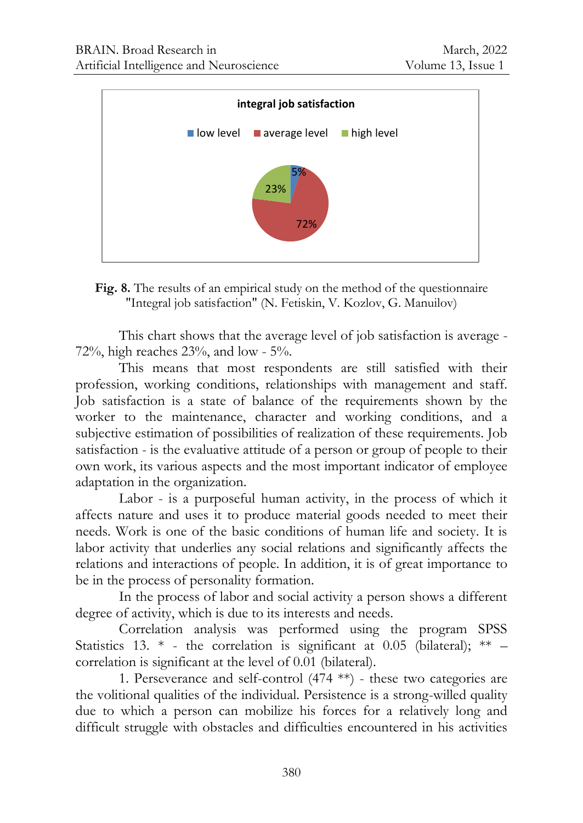



This chart shows that the average level of job satisfaction is average - 72%, high reaches  $23%$ , and low - 5%.

This means that most respondents are still satisfied with their profession, working conditions, relationships with management and staff. Job satisfaction is a state of balance of the requirements shown by the worker to the maintenance, character and working conditions, and a subjective estimation of possibilities of realization of these requirements. Job satisfaction - is the evaluative attitude of a person or group of people to their own work, its various aspects and the most important indicator of employee adaptation in the organization.

Labor - is a purposeful human activity, in the process of which it affects nature and uses it to produce material goods needed to meet their needs. Work is one of the basic conditions of human life and society. It is labor activity that underlies any social relations and significantly affects the relations and interactions of people. In addition, it is of great importance to be in the process of personality formation.

In the process of labor and social activity a person shows a different degree of activity, which is due to its interests and needs.

Correlation analysis was performed using the program SPSS Statistics 13. \* - the correlation is significant at 0.05 (bilateral); \*\* – correlation is significant at the level of 0.01 (bilateral).

1. Perseverance and self-control (474 \*\*) - these two categories are the volitional qualities of the individual. Persistence is a strong-willed quality due to which a person can mobilize his forces for a relatively long and difficult struggle with obstacles and difficulties encountered in his activities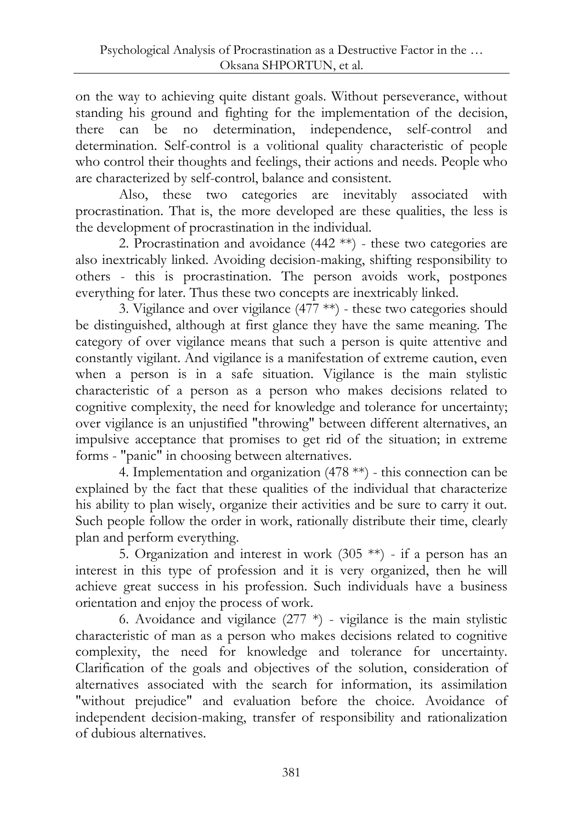on the way to achieving quite distant goals. Without perseverance, without standing his ground and fighting for the implementation of the decision, there can be no determination, independence, self-control and determination. Self-control is a volitional quality characteristic of people who control their thoughts and feelings, their actions and needs. People who are characterized by self-control, balance and consistent.

Also, these two categories are inevitably associated with procrastination. That is, the more developed are these qualities, the less is the development of procrastination in the individual.

2. Procrastination and avoidance  $(442$  \*\*) - these two categories are also inextricably linked. Avoiding decision-making, shifting responsibility to others - this is procrastination. The person avoids work, postpones everything for later. Thus these two concepts are inextricably linked.

3. Vigilance and over vigilance  $(477 \ast\*)$  - these two categories should be distinguished, although at first glance they have the same meaning. The category of over vigilance means that such a person is quite attentive and constantly vigilant. And vigilance is a manifestation of extreme caution, even when a person is in a safe situation. Vigilance is the main stylistic characteristic of a person as a person who makes decisions related to cognitive complexity, the need for knowledge and tolerance for uncertainty; over vigilance is an unjustified "throwing" between different alternatives, an impulsive acceptance that promises to get rid of the situation; in extreme forms - "panic" in choosing between alternatives.

4. Implementation and organization (478 \*\*) - this connection can be explained by the fact that these qualities of the individual that characterize his ability to plan wisely, organize their activities and be sure to carry it out. Such people follow the order in work, rationally distribute their time, clearly plan and perform everything.

5. Organization and interest in work (305 \*\*) - if a person has an interest in this type of profession and it is very organized, then he will achieve great success in his profession. Such individuals have a business orientation and enjoy the process of work.

6. Avoidance and vigilance  $(277 * )$  - vigilance is the main stylistic characteristic of man as a person who makes decisions related to cognitive complexity, the need for knowledge and tolerance for uncertainty. Clarification of the goals and objectives of the solution, consideration of alternatives associated with the search for information, its assimilation "without prejudice" and evaluation before the choice. Avoidance of independent decision-making, transfer of responsibility and rationalization of dubious alternatives.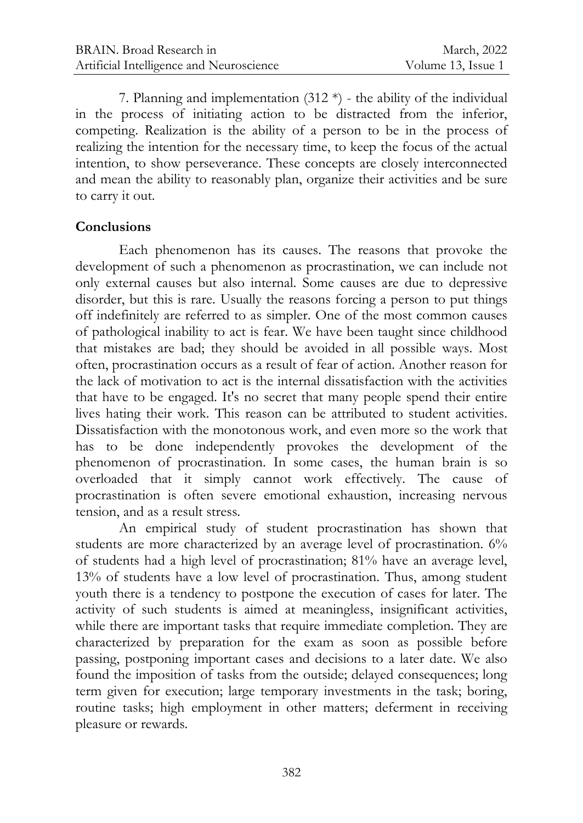7. Planning and implementation  $(312*)$  - the ability of the individual in the process of initiating action to be distracted from the inferior, competing. Realization is the ability of a person to be in the process of realizing the intention for the necessary time, to keep the focus of the actual intention, to show perseverance. These concepts are closely interconnected and mean the ability to reasonably plan, organize their activities and be sure to carry it out.

#### **Conclusions**

Each phenomenon has its causes. The reasons that provoke the development of such a phenomenon as procrastination, we can include not only external causes but also internal. Some causes are due to depressive disorder, but this is rare. Usually the reasons forcing a person to put things off indefinitely are referred to as simpler. One of the most common causes of pathological inability to act is fear. We have been taught since childhood that mistakes are bad; they should be avoided in all possible ways. Most often, procrastination occurs as a result of fear of action. Another reason for the lack of motivation to act is the internal dissatisfaction with the activities that have to be engaged. It's no secret that many people spend their entire lives hating their work. This reason can be attributed to student activities. Dissatisfaction with the monotonous work, and even more so the work that has to be done independently provokes the development of the phenomenon of procrastination. In some cases, the human brain is so overloaded that it simply cannot work effectively. The cause of procrastination is often severe emotional exhaustion, increasing nervous tension, and as a result stress.

An empirical study of student procrastination has shown that students are more characterized by an average level of procrastination. 6% of students had a high level of procrastination; 81% have an average level, 13% of students have a low level of procrastination. Thus, among student youth there is a tendency to postpone the execution of cases for later. The activity of such students is aimed at meaningless, insignificant activities, while there are important tasks that require immediate completion. They are characterized by preparation for the exam as soon as possible before passing, postponing important cases and decisions to a later date. We also found the imposition of tasks from the outside; delayed consequences; long term given for execution; large temporary investments in the task; boring, routine tasks; high employment in other matters; deferment in receiving pleasure or rewards.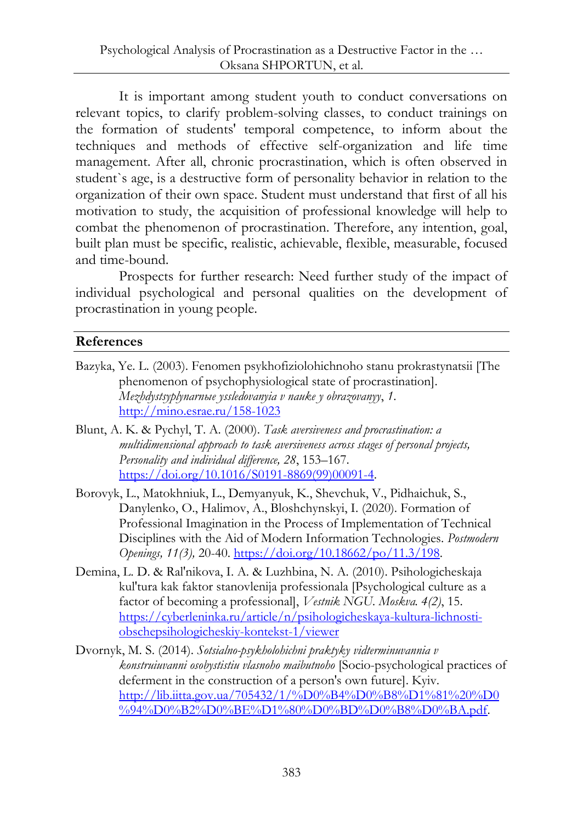It is important among student youth to conduct conversations on relevant topics, to clarify problem-solving classes, to conduct trainings on the formation of students' temporal competence, to inform about the techniques and methods of effective self-organization and life time management. After all, chronic procrastination, which is often observed in student`s age, is a destructive form of personality behavior in relation to the organization of their own space. Student must understand that first of all his motivation to study, the acquisition of professional knowledge will help to combat the phenomenon of procrastination. Therefore, any intention, goal, built plan must be specific, realistic, achievable, flexible, measurable, focused and time-bound.

Prospects for further research: Need further study of the impact of individual psychological and personal qualities on the development of procrastination in young people.

### **References**

- Bazyka, Ye. L. (2003). Fenomen psykhofiziolohichnoho stanu prokrastynatsii [The phenomenon of psychophysiological state of procrastination]. *Mezhdystsyplynarnыe yssledovanyia v nauke y obrazovanyy*, *1*. <http://mino.esrae.ru/158-1023>
- Blunt, A. K. & Pychyl, T. A. (2000). *Task aversiveness and procrastination: a multidimensional approach to task aversiveness across stages of personal projects, Personality and individual difference, 28*, 153–167. [https://doi.org/10.1016/S0191-8869\(99\)00091-4.](https://doi.org/10.1016/S0191-8869(99)00091-4)
- Borovyk, L., Matokhniuk, L., Demyanyuk, K., Shevchuk, V., Pidhaichuk, S., Danylenko, O., Halimov, A., Bloshchynskyi, I. (2020). Formation of Professional Imagination in the Process of Implementation of Technical Disciplines with the Aid of Modern Information Technologies. *Postmodern Openings, 11(3),* 20-40. [https://doi.org/10.18662/po/11.3/198.](https://doi.org/10.18662/po/11.3/198)
- Demina, L. D. & Ral'nikova, I. A. & Luzhbina, N. A. (2010). Psihologicheskaja kul'tura kak faktor stanovlenija professionala [Psychological culture as a factor of becoming a professional], *Vestnik NGU. Moskva. 4(2)*, 15. [https://cyberleninka.ru/article/n/psihologicheskaya-kultura-lichnosti](https://cyberleninka.ru/article/n/psihologicheskaya-kultura-lichnosti-obschepsihologicheskiy-kontekst-1/viewer)[obschepsihologicheskiy-kontekst-1/viewer](https://cyberleninka.ru/article/n/psihologicheskaya-kultura-lichnosti-obschepsihologicheskiy-kontekst-1/viewer)
- Dvornyk, M. S. (2014). *Sotsialno-psykholohichni praktyky vidterminuvannia v konstruiuvanni osobystistiu vlasnoho maibutnoho* [Socio-psychological practices of deferment in the construction of a person's own future]. Kyiv. [http://lib.iitta.gov.ua/705432/1/%D0%B4%D0%B8%D1%81%20%D0](http://lib.iitta.gov.ua/705432/1/%D0%B4%D0%B8%D1%81%20%D0%94%D0%B2%D0%BE%D1%80%D0%BD%D0%B8%D0%BA.pdf) [%94%D0%B2%D0%BE%D1%80%D0%BD%D0%B8%D0%BA.pdf.](http://lib.iitta.gov.ua/705432/1/%D0%B4%D0%B8%D1%81%20%D0%94%D0%B2%D0%BE%D1%80%D0%BD%D0%B8%D0%BA.pdf)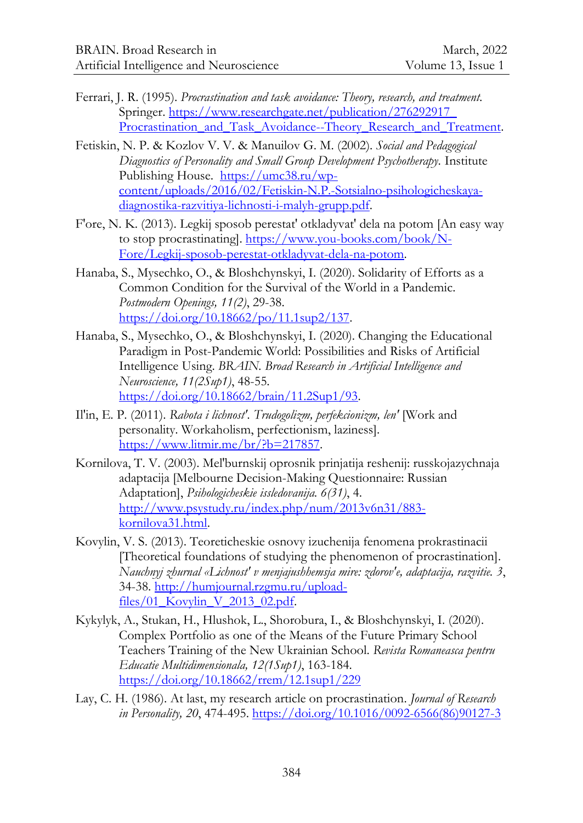- Ferrari, J. R. (1995). *Procrastination and task avoidance: Theory, research, and treatment.* Springer. [https://www.researchgate.net/publication/276292917\\_](https://www.researchgate.net/publication/276292917_%0bProcrastination_and_Task_Avoidance--Theory_Research_and_Treatment) Procrastination and Task Avoidance--Theory Research and Treatment.
- Fetiskin, N. P. & Kozlov V. V. & Manuilov G. М. (2002). *Social and Pedagogical Diagnostics of Personality and Small Group Development Psychotherapy.* Institute Publishing House. [https://umc38.ru/wp](https://umc38.ru/wp-content/uploads/2016/02/Fetiskin-N.P.-Sotsialno-psihologicheskaya-diagnostika-razvitiya-lichnosti-i-malyh-grupp.pdf)[content/uploads/2016/02/Fetiskin-N.P.-Sotsialno-psihologicheskaya](https://umc38.ru/wp-content/uploads/2016/02/Fetiskin-N.P.-Sotsialno-psihologicheskaya-diagnostika-razvitiya-lichnosti-i-malyh-grupp.pdf)[diagnostika-razvitiya-lichnosti-i-malyh-grupp.pdf.](https://umc38.ru/wp-content/uploads/2016/02/Fetiskin-N.P.-Sotsialno-psihologicheskaya-diagnostika-razvitiya-lichnosti-i-malyh-grupp.pdf)
- F'ore, N. K. (2013). Legkij sposob perestat' otkladyvat' dela na potom [An easy way to stop procrastinating]. [https://www.you-books.com/book/N-](https://www.you-books.com/book/N-Fore/Legkij-sposob-perestat-otkladyvat-dela-na-potom)[Fore/Legkij-sposob-perestat-otkladyvat-dela-na-potom.](https://www.you-books.com/book/N-Fore/Legkij-sposob-perestat-otkladyvat-dela-na-potom)
- Hanaba, S., Mysechko, O., & Bloshchynskyi, I. (2020). Solidarity of Efforts as a Common Condition for the Survival of the World in a Pandemic. *Postmodern Openings, 11(2)*, 29-38. [https://doi.org/10.18662/po/11.1sup2/137.](https://doi.org/10.18662/po/11.1sup2/137)
- Hanaba, S., Mysechko, O., & Bloshchynskyi, I. (2020). Changing the Educational Paradigm in Post-Pandemic World: Possibilities and Risks of Artificial Intelligence Using. *BRAIN. Broad Research in Artificial Intelligence and Neuroscience, 11(2Sup1)*, 48-55. [https://doi.org/10.18662/brain/11.2Sup1/93.](https://doi.org/10.18662/brain/11.2Sup1/93)
- Il'in, E. P. (2011). *Rabota i lichnost'. Trudogolizm, perfekcionizm, len'* [Work and personality. Workaholism, perfectionism, laziness]. [https://www.litmir.me/br/?b=217857.](https://www.litmir.me/br/?b=217857)
- Kornilova, T. V. (2003). Mel'burnskij oprosnik prinjatija reshenij: russkojazychnaja adaptacija [Melbourne Decision-Making Questionnaire: Russian Adaptation], *Psihologicheskie issledovanija. 6(31)*, 4. [http://www.psystudy.ru/index.php/num/2013v6n31/883](http://www.psystudy.ru/index.php/num/2013v6n31/883-kornilova31.html) [kornilova31.html.](http://www.psystudy.ru/index.php/num/2013v6n31/883-kornilova31.html)
- Kovylin, V. S. (2013). Teoreticheskie osnovy izuchenija fenomena prokrastinacii [Theoretical foundations of studying the phenomenon of procrastination]. *Nauchnyj zhurnal «Lichnost' v menjajushhemsja mire: zdorov'e, adaptacija, razvitie. 3*, 34-38. [http://humjournal.rzgmu.ru/upload](http://humjournal.rzgmu.ru/upload-files/01_Kovylin_V_2013_02.pdf)files/01 Kovylin V 2013 02.pdf.
- Kykylyk, A., Stukan, H., Hlushok, L., Shorobura, I., & Bloshchynskyi, I. (2020). Complex Portfolio as one of the Means of the Future Primary School Teachers Training of the New Ukrainian School. *Revista Romaneasca pentru Educatie Multidimensionala, 12(1Sup1)*, 163-184. <https://doi.org/10.18662/rrem/12.1sup1/229>
- Lay, C. H. (1986). At last, my research article on procrastination. *Journal of Research in Personality, 20*, 474-495. [https://doi.org/10.1016/0092-6566\(86\)90127-3](https://doi.org/10.1016/0092-6566(86)90127-3)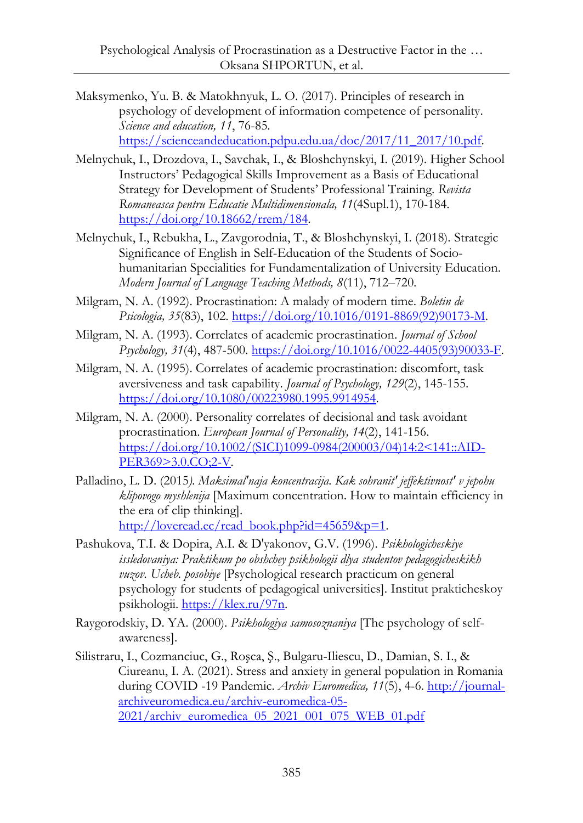- Maksymenko, Yu. B. & Matokhnyuk, L. O. (2017). Principles of research in psychology of development of information competence of personality. *Science and education, 11*, 76-85. [https://scienceandeducation.pdpu.edu.ua/doc/2017/11\\_2017/10.pdf.](https://scienceandeducation.pdpu.edu.ua/doc/2017/11_2017/10.pdf)
- Melnychuk, I., Drozdova, I., Savchak, I., & Bloshchynskyi, I. (2019). Higher School Instructors' Pedagogical Skills Improvement as a Basis of Educational Strategy for Development of Students' Professional Training. *Revista Romaneasca pentru Educatie Multidimensionala, 11*(4Supl.1), 170-184. [https://doi.org/10.18662/rrem/184.](https://doi.org/10.18662/rrem/184)
- Melnychuk, I., Rebukha, L., Zavgorodnia, T., & Bloshchynskyi, I. (2018). Strategic Significance of English in Self-Education of the Students of Sociohumanitarian Specialities for Fundamentalization of University Education. *Modern Journal of Language Teaching Methods, 8*(11), 712–720.
- Milgram, N. A. (1992). Procrastination: A malady of modern time. *Boletin de Psicologia, 35*(83), 102[. https://doi.org/10.1016/0191-8869\(92\)90173-M.](https://doi.org/10.1016/0191-8869(92)90173-M)
- Milgram, N. A. (1993). Correlates of academic procrastination. *Journal of School Psychology, 31*(4), 487-500. [https://doi.org/10.1016/0022-4405\(93\)90033-F.](https://doi.org/10.1016/0022-4405(93)90033-F)
- Milgram, N. A. (1995). Correlates of academic procrastination: discomfort, task aversiveness and task capability. *Journal of Psychology, 129*(2), 145-155. [https://doi.org/10.1080/00223980.1995.9914954.](https://doi.org/10.1080/00223980.1995.9914954)
- Milgram, N. А. (2000). Personality correlates of decisional and task avoidant procrastination. *European Journal of Personality, 14*(2), 141-156. [https://doi.org/10.1002/\(SICI\)1099-0984\(200003/04\)14:2<141::AID-](https://doi.org/10.1002/(SICI)1099-0984(200003/04)14:2%3c141::AID-PER369%3e3.0.CO;2-V)[PER369>3.0.CO;2-V.](https://doi.org/10.1002/(SICI)1099-0984(200003/04)14:2%3c141::AID-PER369%3e3.0.CO;2-V)
- Palladino, L. D. (2015*). Maksimal'naja koncentracija. Kak sohranit' jeffektivnost' v jepohu klipovogo myshlenija* [Maximum concentration. How to maintain efficiency in the era of clip thinking]. [http://loveread.ec/read\\_book.php?id=45659&p=1.](http://loveread.ec/read_book.php?id=45659&p=1)
- Pashukova, T.I. & Dopira, A.I. & D'yakonov, G.V. (1996). *Psikhologicheskiye issledovaniya: Praktikum po obshchey psikhologii dlya studentov pedagogicheskikh vuzov. Ucheb. posobiye* [Psychological research practicum on general psychology for students of pedagogical universities]. Institut prakticheskoy psikhologii. [https://klex.ru/97n.](https://klex.ru/97n)
- Raygorodskiy, D. YA. (2000). *Psikhologiya samosoznaniya* [The psychology of selfawareness].
- Silistraru, I., Cozmanciuc, G., Roşca, Ş., Bulgaru-Iliescu, D., Damian, S. I., & Ciureanu, I. A. (2021). Stress and anxiety in general population in Romania during COVID -19 Pandemic. *Archiv Euromedica, 11*(5), 4-6. http://journalarchiveuromedica.eu/archiv-euromedica-05- 2021/archiv\_euromedica\_05\_2021\_001\_075\_WEB\_01.pdf